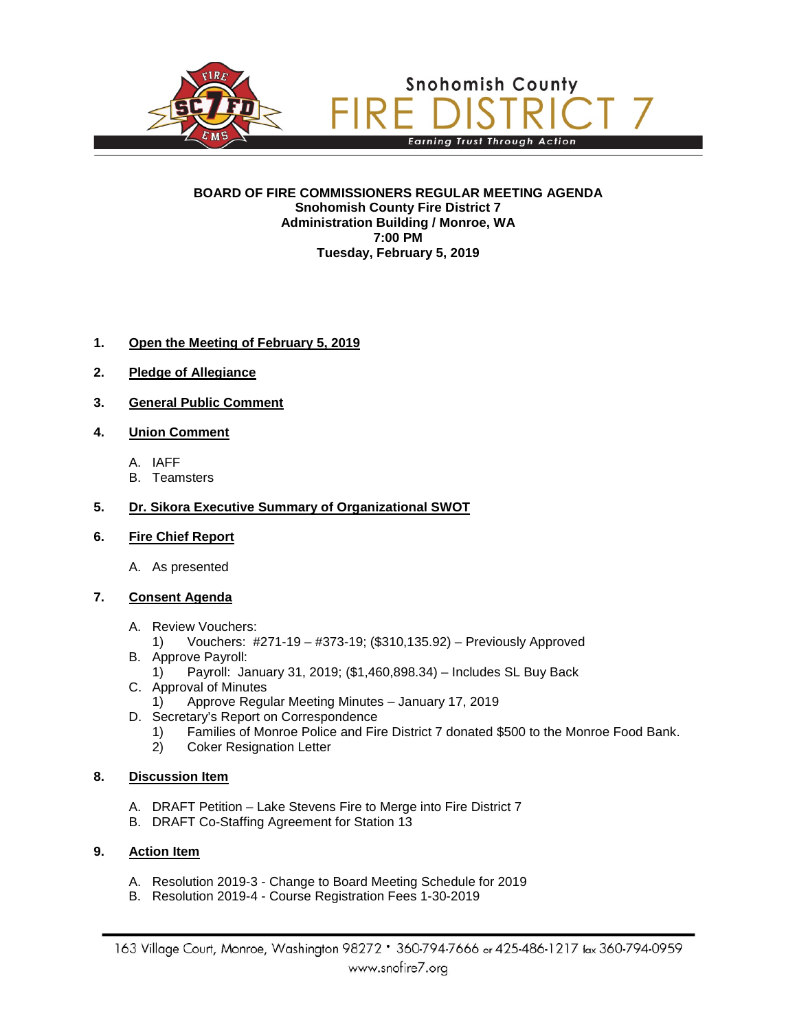

**BOARD OF FIRE COMMISSIONERS REGULAR MEETING AGENDA Snohomish County Fire District 7 Administration Building / Monroe, WA 7:00 PM Tuesday, February 5, 2019**

## **1. Open the Meeting of February 5, 2019**

- **2. Pledge of Allegiance**
- **3. General Public Comment**
- **4. Union Comment**
	- A. IAFF
	- B. Teamsters

## **5. Dr. Sikora Executive Summary of Organizational SWOT**

#### **6. Fire Chief Report**

A. As presented

### **7. Consent Agenda**

- A. Review Vouchers:
	- 1) Vouchers: #271-19 #373-19; (\$310,135.92) Previously Approved
- B. Approve Payroll:
	- 1) Payroll: January 31, 2019; (\$1,460,898.34) Includes SL Buy Back
- C. Approval of Minutes
	- 1) Approve Regular Meeting Minutes January 17, 2019
- D. Secretary's Report on Correspondence
	- 1) Families of Monroe Police and Fire District 7 donated \$500 to the Monroe Food Bank.<br>2) Coker Resignation Letter
	- **Coker Resignation Letter**

#### **8. Discussion Item**

- A. DRAFT Petition Lake Stevens Fire to Merge into Fire District 7
- B. DRAFT Co-Staffing Agreement for Station 13

#### **9. Action Item**

- A. Resolution 2019-3 Change to Board Meeting Schedule for 2019
- B. Resolution 2019-4 Course Registration Fees 1-30-2019